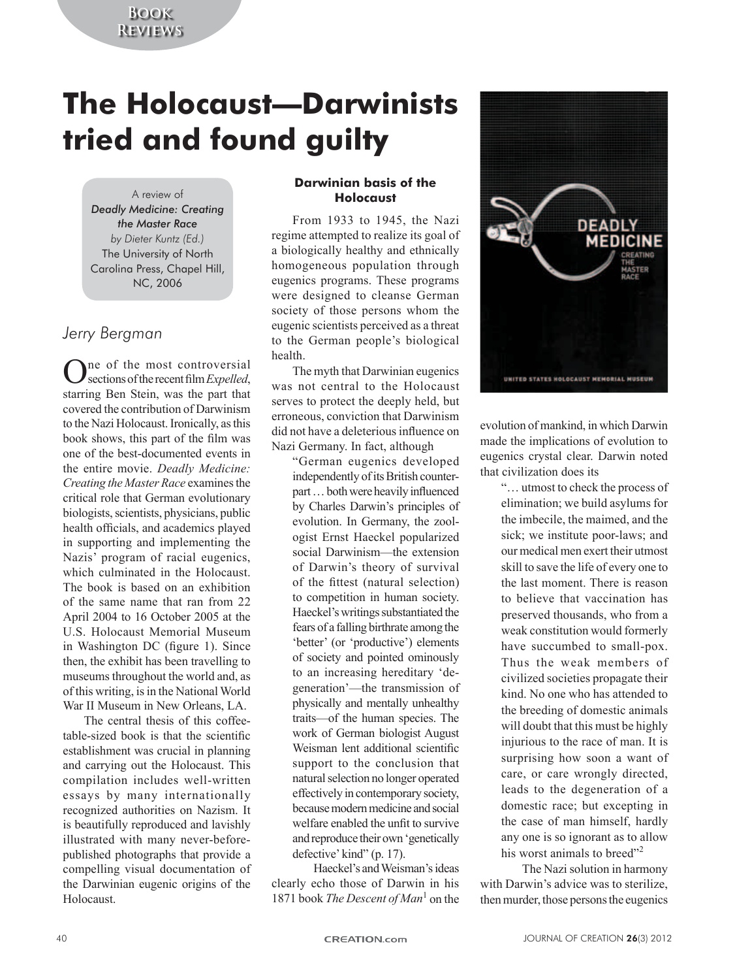## **Book Reviews**

# **The Holocaust—Darwinists tried and found guilty**

## A review of

*Deadly Medicine: Creating the Master Race by Dieter Kuntz (Ed.)* The University of North Carolina Press, Chapel Hill, NC, 2006

## *Jerry Bergman*

Ine of the most controversial sections of the recent film *Expelled*, starring Ben Stein, was the part that covered the contribution of Darwinism to the Nazi Holocaust. Ironically, as this book shows, this part of the film was one of the best-documented events in the entire movie. *Deadly Medicine: Creating the Master Race* examines the critical role that German evolutionary biologists, scientists, physicians, public health officials, and academics played in supporting and implementing the Nazis' program of racial eugenics, which culminated in the Holocaust. The book is based on an exhibition of the same name that ran from 22 April 2004 to 16 October 2005 at the U.S. Holocaust Memorial Museum in Washington DC (figure 1). Since then, the exhibit has been travelling to museums throughout the world and, as of this writing, is in the National World War II Museum in New Orleans, LA.

The central thesis of this coffeetable-sized book is that the scientific establishment was crucial in planning and carrying out the Holocaust. This compilation includes well-written essays by many internationally recognized authorities on Nazism. It is beautifully reproduced and lavishly illustrated with many never-beforepublished photographs that provide a compelling visual documentation of the Darwinian eugenic origins of the Holocaust.

### **Darwinian basis of the Holocaust**

From 1933 to 1945, the Nazi regime attempted to realize its goal of a biologically healthy and ethnically homogeneous population through eugenics programs. These programs were designed to cleanse German society of those persons whom the eugenic scientists perceived as a threat to the German people's biological health.

The myth that Darwinian eugenics was not central to the Holocaust serves to protect the deeply held, but erroneous, conviction that Darwinism did not have a deleterious influence on Nazi Germany. In fact, although

"German eugenics developed independently of its British counterpart … both were heavily influenced by Charles Darwin's principles of evolution. In Germany, the zoologist Ernst Haeckel popularized social Darwinism—the extension of Darwin's theory of survival of the fittest (natural selection) to competition in human society. Haeckel's writings substantiated the fears of a falling birthrate among the 'better' (or 'productive') elements of society and pointed ominously to an increasing hereditary 'degeneration'—the transmission of physically and mentally unhealthy traits—of the human species. The work of German biologist August Weisman lent additional scientific support to the conclusion that natural selection no longer operated effectively in contemporary society, because modern medicine and social welfare enabled the unfit to survive and reproduce their own 'genetically defective' kind" (p. 17).

Haeckel's and Weisman's ideas clearly echo those of Darwin in his 1871 book *The Descent of Man*<sup>1</sup> on the



evolution of mankind, in which Darwin made the implications of evolution to eugenics crystal clear. Darwin noted that civilization does its

> "… utmost to check the process of elimination; we build asylums for the imbecile, the maimed, and the sick; we institute poor-laws; and our medical men exert their utmost skill to save the life of every one to the last moment. There is reason to believe that vaccination has preserved thousands, who from a weak constitution would formerly have succumbed to small-pox. Thus the weak members of civilized societies propagate their kind. No one who has attended to the breeding of domestic animals will doubt that this must be highly injurious to the race of man. It is surprising how soon a want of care, or care wrongly directed, leads to the degeneration of a domestic race; but excepting in the case of man himself, hardly any one is so ignorant as to allow his worst animals to breed"<sup>2</sup>

The Nazi solution in harmony with Darwin's advice was to sterilize, then murder, those persons the eugenics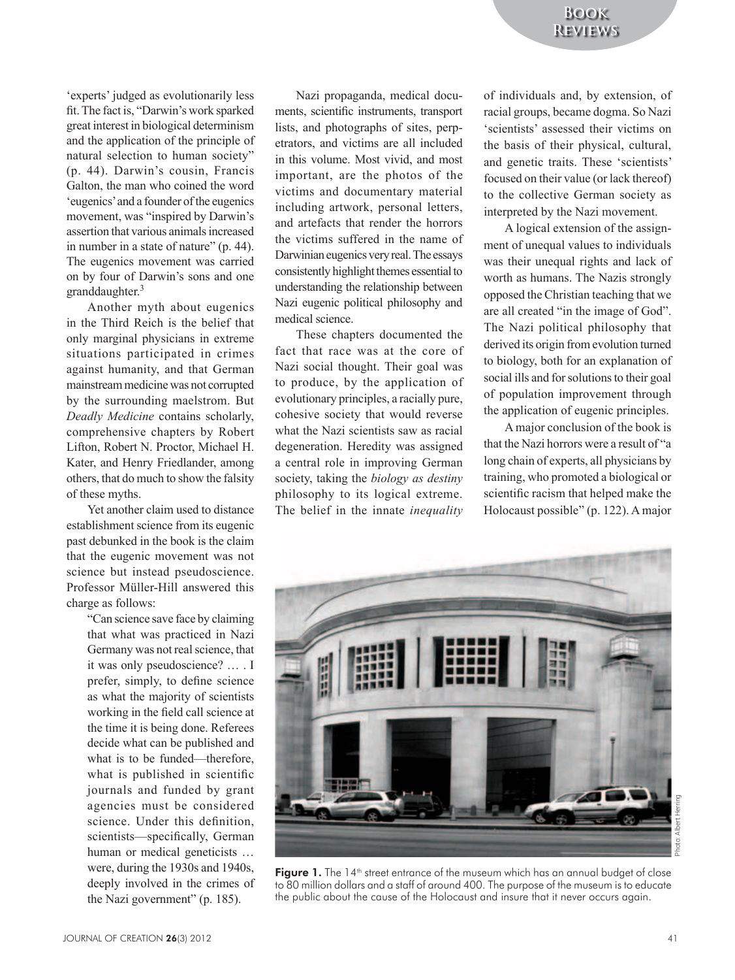'experts' judged as evolutionarily less fit. The fact is, "Darwin's work sparked great interest in biological determinism and the application of the principle of natural selection to human society" (p. 44). Darwin's cousin, Francis Galton, the man who coined the word 'eugenics' and a founder of the eugenics movement, was "inspired by Darwin's assertion that various animals increased in number in a state of nature" (p. 44). The eugenics movement was carried on by four of Darwin's sons and one granddaughter.<sup>3</sup>

Another myth about eugenics in the Third Reich is the belief that only marginal physicians in extreme situations participated in crimes against humanity, and that German mainstream medicine was not corrupted by the surrounding maelstrom. But *Deadly Medicine* contains scholarly, comprehensive chapters by Robert Lifton, Robert N. Proctor, Michael H. Kater, and Henry Friedlander, among others, that do much to show the falsity of these myths.

Yet another claim used to distance establishment science from its eugenic past debunked in the book is the claim that the eugenic movement was not science but instead pseudoscience. Professor Müller-Hill answered this charge as follows:

> "Can science save face by claiming that what was practiced in Nazi Germany was not real science, that it was only pseudoscience? … . I prefer, simply, to define science as what the majority of scientists working in the field call science at the time it is being done. Referees decide what can be published and what is to be funded—therefore, what is published in scientific journals and funded by grant agencies must be considered science. Under this definition, scientists—specifically, German human or medical geneticists … were, during the 1930s and 1940s, deeply involved in the crimes of the Nazi government" (p. 185).

Nazi propaganda, medical documents, scientific instruments, transport lists, and photographs of sites, perpetrators, and victims are all included in this volume. Most vivid, and most important, are the photos of the victims and documentary material including artwork, personal letters, and artefacts that render the horrors the victims suffered in the name of Darwinian eugenics very real. The essays consistently highlight themes essential to understanding the relationship between Nazi eugenic political philosophy and medical science.

These chapters documented the fact that race was at the core of Nazi social thought. Their goal was to produce, by the application of evolutionary principles, a racially pure, cohesive society that would reverse what the Nazi scientists saw as racial degeneration. Heredity was assigned a central role in improving German society, taking the *biology as destiny* philosophy to its logical extreme. The belief in the innate *inequality* of individuals and, by extension, of racial groups, became dogma. So Nazi 'scientists' assessed their victims on the basis of their physical, cultural, and genetic traits. These 'scientists' focused on their value (or lack thereof) to the collective German society as interpreted by the Nazi movement.

A logical extension of the assignment of unequal values to individuals was their unequal rights and lack of worth as humans. The Nazis strongly opposed the Christian teaching that we are all created "in the image of God". The Nazi political philosophy that derived its origin from evolution turned to biology, both for an explanation of social ills and for solutions to their goal of population improvement through the application of eugenic principles.

A major conclusion of the book is that the Nazi horrors were a result of "a long chain of experts, all physicians by training, who promoted a biological or scientific racism that helped make the Holocaust possible" (p. 122). A major



Photo: Albert Herring Albert hoto:

Figure 1. The 14<sup>th</sup> street entrance of the museum which has an annual budget of close to 80 million dollars and a staff of around 400. The purpose of the museum is to educate the public about the cause of the Holocaust and insure that it never occurs again.